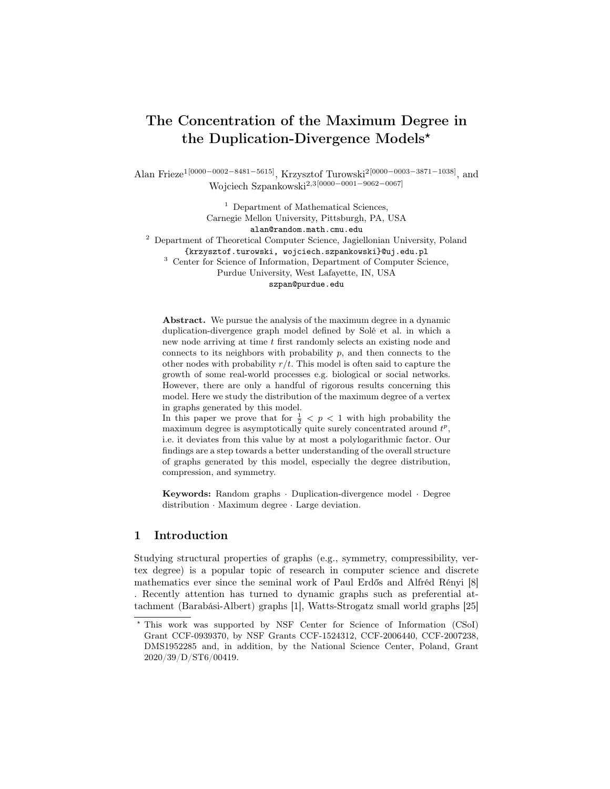# The Concentration of the Maximum Degree in the Duplication-Divergence Models?

Alan Frieze1[0000−0002−8481−5615], Krzysztof Turowski2[0000−0003−3871−1038], and Wojciech Szpankowski2,3[0000−0001−9062−0067]

> $^{\rm 1}$  Department of Mathematical Sciences, Carnegie Mellon University, Pittsburgh, PA, USA alan@random.math.cmu.edu

<sup>2</sup> Department of Theoretical Computer Science, Jagiellonian University, Poland

{krzysztof.turowski, wojciech.szpankowski}@uj.edu.pl

<sup>3</sup> Center for Science of Information, Department of Computer Science,

Purdue University, West Lafayette, IN, USA

szpan@purdue.edu

Abstract. We pursue the analysis of the maximum degree in a dynamic duplication-divergence graph model defined by Solé et al. in which a new node arriving at time t first randomly selects an existing node and connects to its neighbors with probability  $p$ , and then connects to the other nodes with probability  $r/t$ . This model is often said to capture the growth of some real-world processes e.g. biological or social networks. However, there are only a handful of rigorous results concerning this model. Here we study the distribution of the maximum degree of a vertex in graphs generated by this model.

In this paper we prove that for  $\frac{1}{2}$  < p < 1 with high probability the maximum degree is asymptotically quite surely concentrated around  $t^p$ , i.e. it deviates from this value by at most a polylogarithmic factor. Our findings are a step towards a better understanding of the overall structure of graphs generated by this model, especially the degree distribution, compression, and symmetry.

Keywords: Random graphs · Duplication-divergence model · Degree distribution · Maximum degree · Large deviation.

## 1 Introduction

Studying structural properties of graphs (e.g., symmetry, compressibility, vertex degree) is a popular topic of research in computer science and discrete mathematics ever since the seminal work of Paul Erdős and Alfréd Rényi [8] . Recently attention has turned to dynamic graphs such as preferential attachment (Barabási-Albert) graphs [1], Watts-Strogatz small world graphs [25]

<sup>?</sup> This work was supported by NSF Center for Science of Information (CSoI) Grant CCF-0939370, by NSF Grants CCF-1524312, CCF-2006440, CCF-2007238, DMS1952285 and, in addition, by the National Science Center, Poland, Grant 2020/39/D/ST6/00419.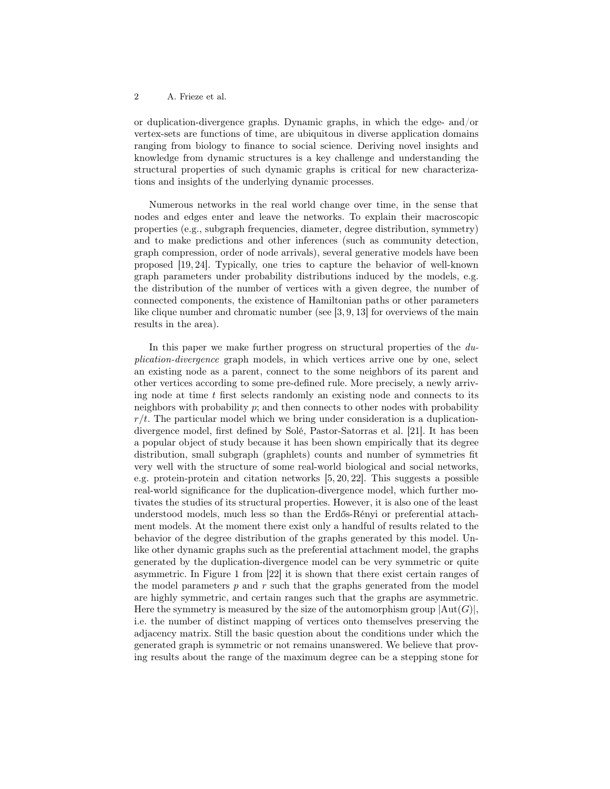or duplication-divergence graphs. Dynamic graphs, in which the edge- and/or vertex-sets are functions of time, are ubiquitous in diverse application domains ranging from biology to finance to social science. Deriving novel insights and knowledge from dynamic structures is a key challenge and understanding the structural properties of such dynamic graphs is critical for new characterizations and insights of the underlying dynamic processes.

Numerous networks in the real world change over time, in the sense that nodes and edges enter and leave the networks. To explain their macroscopic properties (e.g., subgraph frequencies, diameter, degree distribution, symmetry) and to make predictions and other inferences (such as community detection, graph compression, order of node arrivals), several generative models have been proposed [19, 24]. Typically, one tries to capture the behavior of well-known graph parameters under probability distributions induced by the models, e.g. the distribution of the number of vertices with a given degree, the number of connected components, the existence of Hamiltonian paths or other parameters like clique number and chromatic number (see [3, 9, 13] for overviews of the main results in the area).

In this paper we make further progress on structural properties of the duplication-divergence graph models, in which vertices arrive one by one, select an existing node as a parent, connect to the some neighbors of its parent and other vertices according to some pre-defined rule. More precisely, a newly arriving node at time  $t$  first selects randomly an existing node and connects to its neighbors with probability  $p$ ; and then connects to other nodes with probability  $r/t$ . The particular model which we bring under consideration is a duplicationdivergence model, first defined by Solé, Pastor-Satorras et al. [21]. It has been a popular object of study because it has been shown empirically that its degree distribution, small subgraph (graphlets) counts and number of symmetries fit very well with the structure of some real-world biological and social networks, e.g. protein-protein and citation networks [5, 20, 22]. This suggests a possible real-world significance for the duplication-divergence model, which further motivates the studies of its structural properties. However, it is also one of the least understood models, much less so than the Erdős-Rényi or preferential attachment models. At the moment there exist only a handful of results related to the behavior of the degree distribution of the graphs generated by this model. Unlike other dynamic graphs such as the preferential attachment model, the graphs generated by the duplication-divergence model can be very symmetric or quite asymmetric. In Figure 1 from [22] it is shown that there exist certain ranges of the model parameters  $p$  and  $r$  such that the graphs generated from the model are highly symmetric, and certain ranges such that the graphs are asymmetric. Here the symmetry is measured by the size of the automorphism group  $|\text{Aut}(G)|$ , i.e. the number of distinct mapping of vertices onto themselves preserving the adjacency matrix. Still the basic question about the conditions under which the generated graph is symmetric or not remains unanswered. We believe that proving results about the range of the maximum degree can be a stepping stone for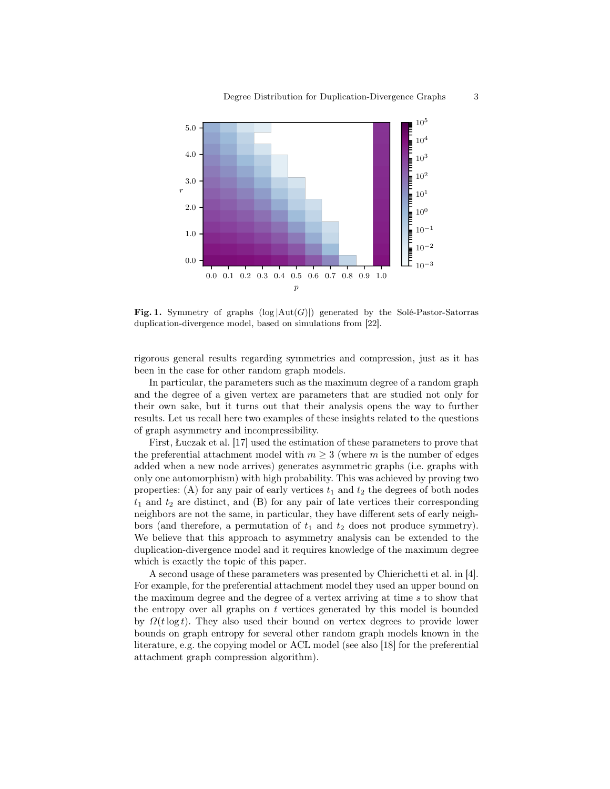

Fig. 1. Symmetry of graphs  $(\log |Aut(G)|)$  generated by the Solé-Pastor-Satorras duplication-divergence model, based on simulations from [22].

rigorous general results regarding symmetries and compression, just as it has been in the case for other random graph models.

In particular, the parameters such as the maximum degree of a random graph and the degree of a given vertex are parameters that are studied not only for their own sake, but it turns out that their analysis opens the way to further results. Let us recall here two examples of these insights related to the questions of graph asymmetry and incompressibility.

First, Łuczak et al. [17] used the estimation of these parameters to prove that the preferential attachment model with  $m \geq 3$  (where m is the number of edges added when a new node arrives) generates asymmetric graphs (i.e. graphs with only one automorphism) with high probability. This was achieved by proving two properties: (A) for any pair of early vertices  $t_1$  and  $t_2$  the degrees of both nodes  $t_1$  and  $t_2$  are distinct, and (B) for any pair of late vertices their corresponding neighbors are not the same, in particular, they have different sets of early neighbors (and therefore, a permutation of  $t_1$  and  $t_2$  does not produce symmetry). We believe that this approach to asymmetry analysis can be extended to the duplication-divergence model and it requires knowledge of the maximum degree which is exactly the topic of this paper.

A second usage of these parameters was presented by Chierichetti et al. in [4]. For example, for the preferential attachment model they used an upper bound on the maximum degree and the degree of a vertex arriving at time s to show that the entropy over all graphs on  $t$  vertices generated by this model is bounded by  $\Omega(t \log t)$ . They also used their bound on vertex degrees to provide lower bounds on graph entropy for several other random graph models known in the literature, e.g. the copying model or ACL model (see also [18] for the preferential attachment graph compression algorithm).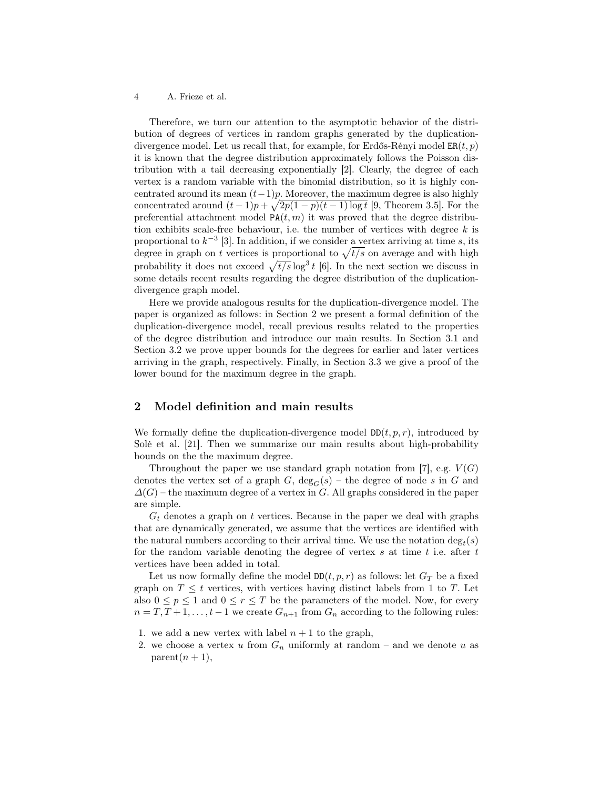Therefore, we turn our attention to the asymptotic behavior of the distribution of degrees of vertices in random graphs generated by the duplicationdivergence model. Let us recall that, for example, for Erdős-Rényi model  $ER(t, p)$ it is known that the degree distribution approximately follows the Poisson distribution with a tail decreasing exponentially [2]. Clearly, the degree of each vertex is a random variable with the binomial distribution, so it is highly concentrated around its mean  $(t-1)p$ . Moreover, the maximum degree is also highly concentrated around  $(t-1)p + \sqrt{2p(1-p)(t-1)\log t}$  [9, Theorem 3.5]. For the preferential attachment model  $PA(t, m)$  it was proved that the degree distribution exhibits scale-free behaviour, i.e. the number of vertices with degree  $k$  is proportional to  $k^{-3}$  [3]. In addition, if we consider a vertex arriving at time s, its degree in graph on t vertices is proportional to  $\sqrt{t/s}$  on average and with high probability it does not exceed  $\sqrt{t/s} \log^3 t$  [6]. In the next section we discuss in some details recent results regarding the degree distribution of the duplicationdivergence graph model.

Here we provide analogous results for the duplication-divergence model. The paper is organized as follows: in Section 2 we present a formal definition of the duplication-divergence model, recall previous results related to the properties of the degree distribution and introduce our main results. In Section 3.1 and Section 3.2 we prove upper bounds for the degrees for earlier and later vertices arriving in the graph, respectively. Finally, in Section 3.3 we give a proof of the lower bound for the maximum degree in the graph.

# 2 Model definition and main results

We formally define the duplication-divergence model  $DD(t, p, r)$ , introduced by Solé et al. [21]. Then we summarize our main results about high-probability bounds on the the maximum degree.

Throughout the paper we use standard graph notation from [7], e.g.  $V(G)$ denotes the vertex set of a graph  $G$ ,  $deg_G(s)$  – the degree of node s in G and  $\Delta(G)$  – the maximum degree of a vertex in G. All graphs considered in the paper are simple.

 $G_t$  denotes a graph on t vertices. Because in the paper we deal with graphs that are dynamically generated, we assume that the vertices are identified with the natural numbers according to their arrival time. We use the notation  $\deg_t(s)$ for the random variable denoting the degree of vertex  $s$  at time  $t$  i.e. after  $t$ vertices have been added in total.

Let us now formally define the model  $DD(t, p, r)$  as follows: let  $G_T$  be a fixed graph on  $T \leq t$  vertices, with vertices having distinct labels from 1 to T. Let also  $0 \leq p \leq 1$  and  $0 \leq r \leq T$  be the parameters of the model. Now, for every  $n = T, T + 1, \ldots, t - 1$  we create  $G_{n+1}$  from  $G_n$  according to the following rules:

- 1. we add a new vertex with label  $n + 1$  to the graph,
- 2. we choose a vertex u from  $G_n$  uniformly at random and we denote u as  $parent(n + 1),$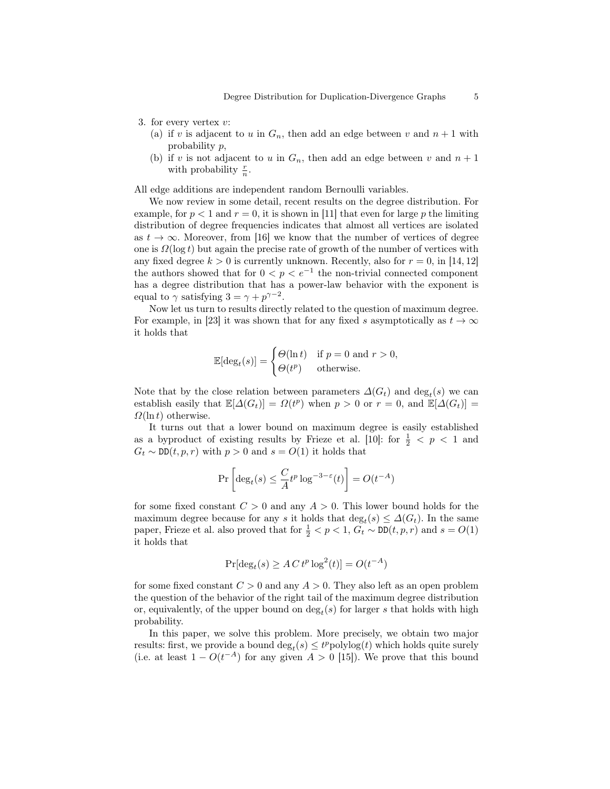- 3. for every vertex  $v$ :
	- (a) if v is adjacent to u in  $G_n$ , then add an edge between v and  $n+1$  with probability p,
	- (b) if v is not adjacent to u in  $G_n$ , then add an edge between v and  $n+1$ with probability  $\frac{r}{n}$ .

All edge additions are independent random Bernoulli variables.

We now review in some detail, recent results on the degree distribution. For example, for  $p < 1$  and  $r = 0$ , it is shown in [11] that even for large p the limiting distribution of degree frequencies indicates that almost all vertices are isolated as  $t \to \infty$ . Moreover, from [16] we know that the number of vertices of degree one is  $\Omega(\log t)$  but again the precise rate of growth of the number of vertices with any fixed degree  $k > 0$  is currently unknown. Recently, also for  $r = 0$ , in [14, 12] the authors showed that for  $0 < p < e^{-1}$  the non-trivial connected component has a degree distribution that has a power-law behavior with the exponent is equal to  $\gamma$  satisfying  $3 = \gamma + p^{\gamma - 2}$ .

Now let us turn to results directly related to the question of maximum degree. For example, in [23] it was shown that for any fixed s asymptotically as  $t \to \infty$ it holds that

$$
\mathbb{E}[\deg_t(s)] = \begin{cases} \Theta(\ln t) & \text{if } p = 0 \text{ and } r > 0, \\ \Theta(t^p) & \text{otherwise.} \end{cases}
$$

Note that by the close relation between parameters  $\Delta(G_t)$  and  $\deg_t(s)$  we can establish easily that  $\mathbb{E}[\Delta(G_t)] = \Omega(t^p)$  when  $p > 0$  or  $r = 0$ , and  $\mathbb{E}[\Delta(G_t)] =$  $\Omega(\ln t)$  otherwise.

It turns out that a lower bound on maximum degree is easily established as a byproduct of existing results by Frieze et al. [10]: for  $\frac{1}{2}$  < p < 1 and  $G_t \sim \text{DD}(t, p, r)$  with  $p > 0$  and  $s = O(1)$  it holds that

$$
\Pr\left[\deg_t(s) \leq \frac{C}{A}t^p \log^{-3-\varepsilon}(t)\right] = O(t^{-A})
$$

for some fixed constant  $C > 0$  and any  $A > 0$ . This lower bound holds for the maximum degree because for any s it holds that  $\deg_t(s) \leq \Delta(G_t)$ . In the same paper, Frieze et al. also proved that for  $\frac{1}{2} < p < 1$ ,  $G_t \sim \text{DD}(t, p, r)$  and  $s = O(1)$ it holds that

$$
\Pr[\deg_t(s) \ge A C t^p \log^2(t)] = O(t^{-A})
$$

for some fixed constant  $C > 0$  and any  $A > 0$ . They also left as an open problem the question of the behavior of the right tail of the maximum degree distribution or, equivalently, of the upper bound on  $\deg_t(s)$  for larger s that holds with high probability.

In this paper, we solve this problem. More precisely, we obtain two major results: first, we provide a bound  $\deg_t(s) \leq t^p \text{polylog}(t)$  which holds quite surely (i.e. at least  $1 - O(t^{-A})$  for any given  $A > 0$  [15]). We prove that this bound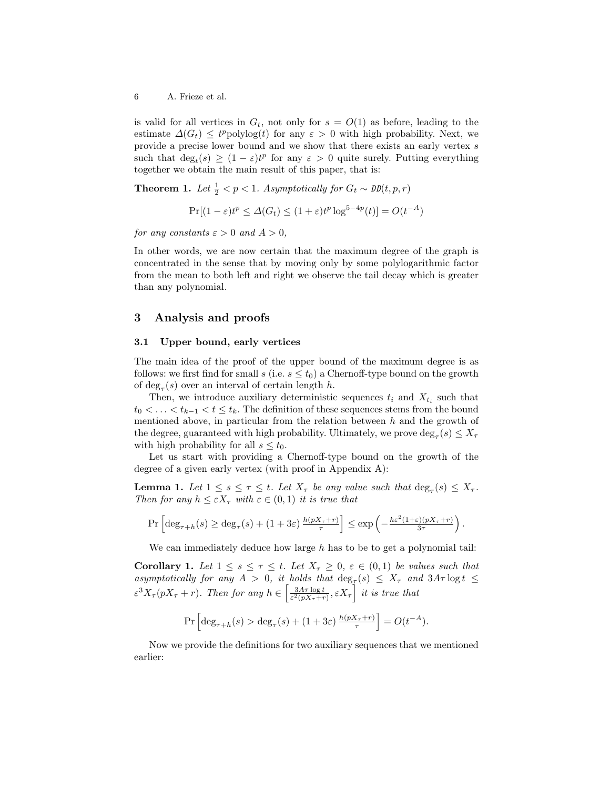is valid for all vertices in  $G_t$ , not only for  $s = O(1)$  as before, leading to the estimate  $\Delta(G_t) \leq t^p \text{polylog}(t)$  for any  $\varepsilon > 0$  with high probability. Next, we provide a precise lower bound and we show that there exists an early vertex  $s$ such that  $\deg_t(s) \geq (1 - \varepsilon)t^p$  for any  $\varepsilon > 0$  quite surely. Putting everything together we obtain the main result of this paper, that is:

**Theorem 1.** Let  $\frac{1}{2} < p < 1$ . Asymptotically for  $G_t \sim \text{DD}(t, p, r)$ 

$$
\Pr[(1-\varepsilon)t^p \le \Delta(G_t) \le (1+\varepsilon)t^p \log^{5-4p}(t)] = O(t^{-A})
$$

for any constants  $\varepsilon > 0$  and  $A > 0$ ,

In other words, we are now certain that the maximum degree of the graph is concentrated in the sense that by moving only by some polylogarithmic factor from the mean to both left and right we observe the tail decay which is greater than any polynomial.

## 3 Analysis and proofs

#### 3.1 Upper bound, early vertices

The main idea of the proof of the upper bound of the maximum degree is as follows: we first find for small s (i.e.  $s \leq t_0$ ) a Chernoff-type bound on the growth of  $\deg_{\tau}(s)$  over an interval of certain length h.

Then, we introduce auxiliary deterministic sequences  $t_i$  and  $X_{t_i}$  such that  $t_0 < \ldots < t_{k-1} < t \leq t_k$ . The definition of these sequences stems from the bound mentioned above, in particular from the relation between  $h$  and the growth of the degree, guaranteed with high probability. Ultimately, we prove  $\deg_{\tau}(s) \leq X_{\tau}$ with high probability for all  $s \leq t_0$ .

Let us start with providing a Chernoff-type bound on the growth of the degree of a given early vertex (with proof in Appendix A):

**Lemma 1.** Let  $1 \leq s \leq \tau \leq t$ . Let  $X_{\tau}$  be any value such that  $\deg_{\tau}(s) \leq X_{\tau}$ . Then for any  $h \leq \varepsilon X_\tau$  with  $\varepsilon \in (0,1)$  it is true that

$$
\Pr\left[\deg_{\tau+h}(s) \geq \deg_{\tau}(s) + (1+3\varepsilon) \frac{h(pX_{\tau}+r)}{\tau}\right] \leq \exp\left(-\frac{h\varepsilon^2(1+\varepsilon)(pX_{\tau}+r)}{3\tau}\right).
$$

We can immediately deduce how large  $h$  has to be to get a polynomial tail:

Corollary 1. Let  $1 \leq s \leq \tau \leq t$ . Let  $X_{\tau} \geq 0$ ,  $\varepsilon \in (0,1)$  be values such that asymptotically for any  $A > 0$ , it holds that  $\deg_{\tau}(s) \leq X_{\tau}$  and  $3A\tau \log t \leq$  $\varepsilon^3 X_\tau (pX_\tau + r)$ . Then for any  $h \in \left[\frac{3A\tau \log t}{\varepsilon^2 (pX_\tau + r)}, \varepsilon X_\tau\right]$  it is true that

$$
\Pr\left[\deg_{\tau+h}(s) > \deg_\tau(s) + (1+3\varepsilon)\,\tfrac{h(pX_\tau+r)}{\tau}\right] = O(t^{-A}).
$$

Now we provide the definitions for two auxiliary sequences that we mentioned earlier: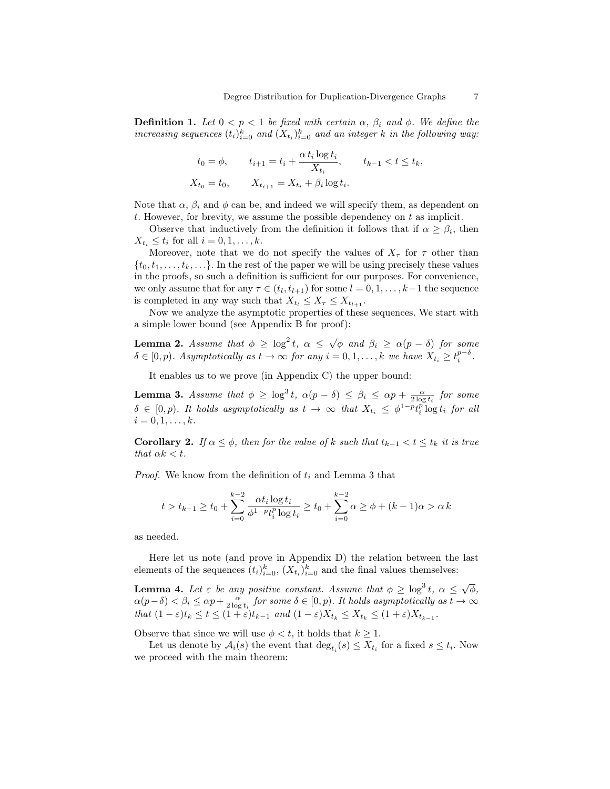**Definition 1.** Let  $0 < p < 1$  be fixed with certain  $\alpha$ ,  $\beta_i$  and  $\phi$ . We define the increasing sequences  $(t_i)_{i=0}^k$  and  $(X_{t_i})_{i=0}^k$  and an integer k in the following way:

$$
t_0 = \phi, \qquad t_{i+1} = t_i + \frac{\alpha t_i \log t_i}{X_{t_i}}, \qquad t_{k-1} < t \le t_k,
$$
\n
$$
X_{t_0} = t_0, \qquad X_{t_{i+1}} = X_{t_i} + \beta_i \log t_i.
$$

Note that  $\alpha$ ,  $\beta_i$  and  $\phi$  can be, and indeed we will specify them, as dependent on t. However, for brevity, we assume the possible dependency on  $t$  as implicit.

Observe that inductively from the definition it follows that if  $\alpha \geq \beta_i$ , then  $X_{t_i} \leq t_i$  for all  $i = 0, 1, \ldots, k$ .

Moreover, note that we do not specify the values of  $X_{\tau}$  for  $\tau$  other than  $\{t_0, t_1, \ldots, t_k, \ldots\}$ . In the rest of the paper we will be using precisely these values in the proofs, so such a definition is sufficient for our purposes. For convenience, we only assume that for any  $\tau \in (t_l, t_{l+1})$  for some  $l = 0, 1, \ldots, k-1$  the sequence is completed in any way such that  $X_{t_l} \leq X_{\tau} \leq X_{t_{l+1}}$ .

Now we analyze the asymptotic properties of these sequences. We start with a simple lower bound (see Appendix B for proof):

**Lemma 2.** Assume that  $\phi \geq \log^2 t$ ,  $\alpha \leq \sqrt{\phi}$  and  $\beta_i \geq \alpha(p-\delta)$  for some  $\delta \in [0, p)$ . Asymptotically as  $t \to \infty$  for any  $i = 0, 1, \ldots, k$  we have  $X_{t_i} \geq t_i^{p-\delta}$ .

It enables us to we prove (in Appendix C) the upper bound:

**Lemma 3.** Assume that  $\phi \geq \log^3 t$ ,  $\alpha(p-\delta) \leq \beta_i \leq \alpha p + \frac{\alpha}{2 \log t_i}$  for some  $\delta \in [0,p)$ . It holds asymptotically as  $t \to \infty$  that  $X_{t_i} \leq \phi^{1-p} t_i^p \log t_i$  for all  $i = 0, 1, \ldots, k.$ 

**Corollary 2.** If  $\alpha \leq \phi$ , then for the value of k such that  $t_{k-1} < t \leq t_k$  it is true that  $\alpha k < t$ .

*Proof.* We know from the definition of  $t_i$  and Lemma 3 that

$$
t > t_{k-1} \ge t_0 + \sum_{i=0}^{k-2} \frac{\alpha t_i \log t_i}{\phi^{1-p} t_i^p \log t_i} \ge t_0 + \sum_{i=0}^{k-2} \alpha \ge \phi + (k-1)\alpha > \alpha k
$$

as needed.

Here let us note (and prove in Appendix D) the relation between the last elements of the sequences  $(t_i)_{i=0}^k$ ,  $(X_{t_i})_{i=0}^k$  and the final values themselves:

**Lemma 4.** Let  $\varepsilon$  be any positive constant. Assume that  $\phi \geq \log^3 t$ ,  $\alpha \leq \sqrt{\phi}$ ,  $\alpha(p-\delta) < \beta_i \leq \alpha p + \frac{\alpha}{2\log t_i}$  for some  $\delta \in [0, p)$ . It holds asymptotically as  $t \to \infty$ that  $(1 - \varepsilon)t_k \le t \le (1 + \varepsilon)t_{k-1}$  and  $(1 - \varepsilon)X_{t_k} \le X_{t_k} \le (1 + \varepsilon)X_{t_{k-1}}$ .

Observe that since we will use  $\phi < t$ , it holds that  $k \geq 1$ .

Let us denote by  $A_i(s)$  the event that  $\deg_{t_i}(s) \leq X_{t_i}$  for a fixed  $s \leq t_i$ . Now we proceed with the main theorem: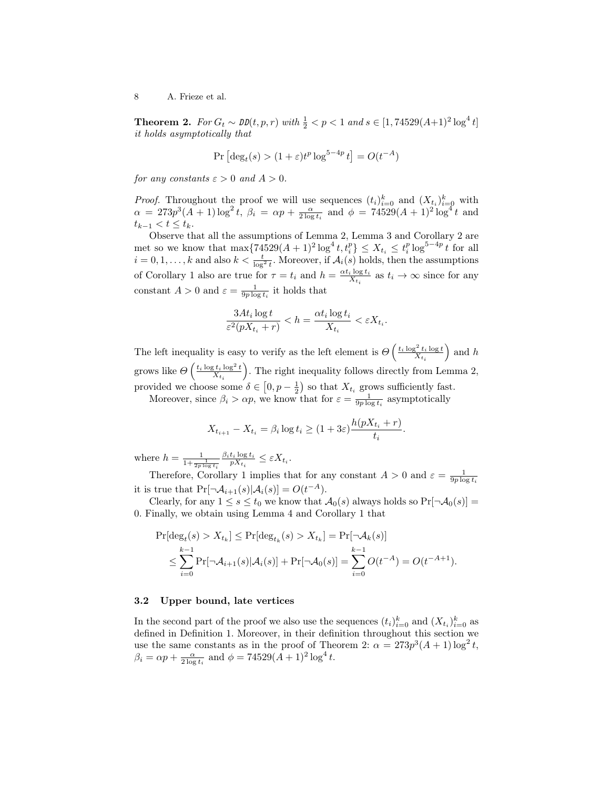**Theorem 2.** For  $G_t$  ∼ DD( $t, p, r$ ) with  $\frac{1}{2} < p < 1$  and  $s \in [1, 74529(A+1)^2 \log^4 t]$ it holds asymptotically that

$$
\Pr\left[\deg_t(s) > (1+\varepsilon)t^p\log^{5-4p}t\right] = O(t^{-A})
$$

for any constants  $\varepsilon > 0$  and  $A > 0$ .

*Proof.* Throughout the proof we will use sequences  $(t_i)_{i=0}^k$  and  $(X_{t_i})_{i=0}^k$  with  $\alpha = 273p^3(A+1)\log^2 t$ ,  $\beta_i = \alpha p + \frac{\alpha}{2\log t_i}$  and  $\phi = 74529(A+1)^2\log^4 t$  and  $t_{k-1} < t \leq t_k$ .

Observe that all the assumptions of Lemma 2, Lemma 3 and Corollary 2 are met so we know that  $\max\{74529(A+1)^2 \log^4 t, t_i^p\} \le X_{t_i} \le t_i^p \log^{5-4p} t$  for all  $i = 0, 1, \ldots, k$  and also  $k < \frac{t}{\log^2 t}$ . Moreover, if  $\mathcal{A}_i(s)$  holds, then the assumptions of Corollary 1 also are true for  $\tau = t_i$  and  $h = \frac{\alpha t_i \log t_i}{X_{t_i}}$  as  $t_i \to \infty$  since for any constant  $A > 0$  and  $\varepsilon = \frac{1}{9p \log t_i}$  it holds that

$$
\frac{3At_i \log t}{\varepsilon^2 (pX_{t_i} + r)} < h = \frac{\alpha t_i \log t_i}{X_{t_i}} < \varepsilon X_{t_i}.
$$

The left inequality is easy to verify as the left element is  $\Theta\left(\frac{t_i \log^2 t_i \log t}{X_{t_i}}\right)$ ) and  $h$ grows like  $\Theta\left(\frac{t_i\log t_i\log^2t}{X_{t_i}}\right)$  . The right inequality follows directly from Lemma 2, provided we choose some  $\delta \in [0, p - \frac{1}{2})$  so that  $X_{t_i}$  grows sufficiently fast.

Moreover, since  $\beta_i > \alpha p$ , we know that for  $\varepsilon = \frac{1}{9p \log t_i}$  asymptotically

$$
X_{t_{i+1}} - X_{t_i} = \beta_i \log t_i \ge (1 + 3\varepsilon) \frac{h(pX_{t_i} + r)}{t_i}
$$

.

where  $h = \frac{1}{1 + \frac{1}{2p \log t_i}}$  $\frac{\beta_i t_i \log t_i}{pX_{t_i}} \leq \varepsilon X_{t_i}.$ 

Therefore, Corollary 1 implies that for any constant  $A > 0$  and  $\varepsilon = \frac{1}{9p \log t_i}$ it is true that  $Pr[\neg \mathcal{A}_{i+1}(s)|\mathcal{A}_{i}(s)] = O(t^{-A}).$ 

Clearly, for any  $1 \le s \le t_0$  we know that  $\mathcal{A}_0(s)$  always holds so  $Pr[\neg \mathcal{A}_0(s)] =$ 0. Finally, we obtain using Lemma 4 and Corollary 1 that

$$
\Pr[\deg_t(s) > X_{t_k}] \le \Pr[\deg_{t_k}(s) > X_{t_k}] = \Pr[\neg \mathcal{A}_k(s)]
$$
  

$$
\le \sum_{i=0}^{k-1} \Pr[\neg \mathcal{A}_{i+1}(s) | \mathcal{A}_i(s)] + \Pr[\neg \mathcal{A}_0(s)] = \sum_{i=0}^{k-1} O(t^{-A}) = O(t^{-A+1}).
$$

#### 3.2 Upper bound, late vertices

In the second part of the proof we also use the sequences  $(t_i)_{i=0}^k$  and  $(X_{t_i})_{i=0}^k$  as defined in Definition 1. Moreover, in their definition throughout this section we use the same constants as in the proof of Theorem 2:  $\alpha = 273p^3(A+1)\log^2 t$ ,  $\beta_i = \alpha p + \frac{\alpha}{2 \log t_i}$  and  $\phi = 74529(A+1)^2 \log^4 t$ .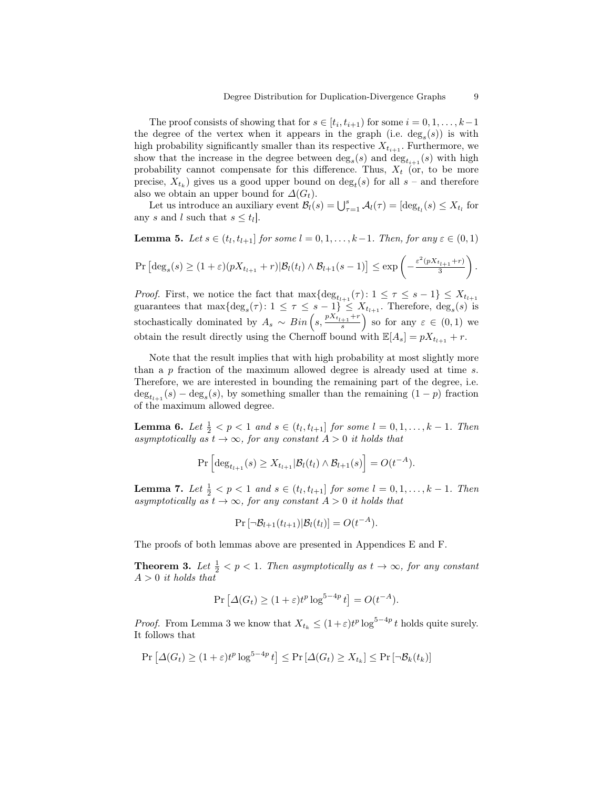The proof consists of showing that for  $s \in [t_i, t_{i+1})$  for some  $i = 0, 1, ..., k-1$ the degree of the vertex when it appears in the graph (i.e.  $deg<sub>s</sub>(s)$ ) is with high probability significantly smaller than its respective  $X_{t_{i+1}}$ . Furthermore, we show that the increase in the degree between  $\deg_s(s)$  and  $\deg_{t_{i+1}}(s)$  with high probability cannot compensate for this difference. Thus,  $X_t$  (or, to be more precise,  $X_{t_k}$ ) gives us a good upper bound on  $\deg_t(s)$  for all  $s$  – and therefore also we obtain an upper bound for  $\Delta(G_t)$ .

Let us introduce an auxiliary event  $\mathcal{B}_l(s) = \bigcup_{\tau=1}^s \mathcal{A}_l(\tau) = [\deg_{t_l}(s) \leq X_{t_l}]$  for any s and l such that  $s \leq t_l$ .

**Lemma 5.** Let  $s \in (t_l, t_{l+1}]$  for some  $l = 0, 1, \ldots, k-1$ . Then, for any  $\varepsilon \in (0, 1)$ 

$$
\Pr\left[\deg_s(s) \ge (1+\varepsilon)(pX_{t_{l+1}}+r)|\mathcal{B}_l(t_l) \wedge \mathcal{B}_{l+1}(s-1)\right] \le \exp\left(-\frac{\varepsilon^2(pX_{t_{l+1}}+r)}{3}\right).
$$

*Proof.* First, we notice the fact that  $\max\{\deg_{t_{l+1}}(\tau): 1 \leq \tau \leq s-1\} \leq X_{t_{l+1}}$ guarantees that  $\max{\{\text{deg}_s(\tau): 1 \leq \tau \leq s-1\}} \leq X_{t_{l+1}}$ . Therefore,  $\text{deg}_s(s)$  is stochastically dominated by  $A_s \sim Bin\left(s, \frac{pX_{t_{l+1}}+r}{s}\right)$  so for any  $\varepsilon \in (0,1)$  we obtain the result directly using the Chernoff bound with  $\mathbb{E}[A_s] = pX_{t_{l+1}} + r$ .

Note that the result implies that with high probability at most slightly more than a p fraction of the maximum allowed degree is already used at time s. Therefore, we are interested in bounding the remaining part of the degree, i.e.  $\deg_{t_{l+1}}(s) - \deg_s(s)$ , by something smaller than the remaining  $(1-p)$  fraction of the maximum allowed degree.

**Lemma 6.** Let  $\frac{1}{2} < p < 1$  and  $s \in (t_l, t_{l+1}]$  for some  $l = 0, 1, ..., k - 1$ . Then asymptotically as  $t \to \infty$ , for any constant  $A > 0$  it holds that

$$
\Pr\left[\deg_{t_{l+1}}(s) \geq X_{t_{l+1}} | \mathcal{B}_l(t_l) \wedge \mathcal{B}_{l+1}(s)\right] = O(t^{-A}).
$$

**Lemma 7.** Let  $\frac{1}{2} < p < 1$  and  $s \in (t_l, t_{l+1}]$  for some  $l = 0, 1, ..., k - 1$ . Then asymptotically as  $t \to \infty$ , for any constant  $A > 0$  it holds that

$$
\Pr[\neg \mathcal{B}_{l+1}(t_{l+1}) | \mathcal{B}_l(t_l)] = O(t^{-A}).
$$

The proofs of both lemmas above are presented in Appendices E and F.

**Theorem 3.** Let  $\frac{1}{2} < p < 1$ . Then asymptotically as  $t \to \infty$ , for any constant  $A > 0$  it holds that

$$
\Pr\left[\Delta(G_t) \ge (1+\varepsilon)t^p \log^{5-4p} t\right] = O(t^{-A}).
$$

*Proof.* From Lemma 3 we know that  $X_{t_k} \leq (1+\varepsilon)t^p \log^{5-4p} t$  holds quite surely. It follows that

$$
\Pr\left[\Delta(G_t) \ge (1+\varepsilon)t^p \log^{5-4p} t\right] \le \Pr\left[\Delta(G_t) \ge X_{t_k}\right] \le \Pr\left[\neg \mathcal{B}_k(t_k)\right]
$$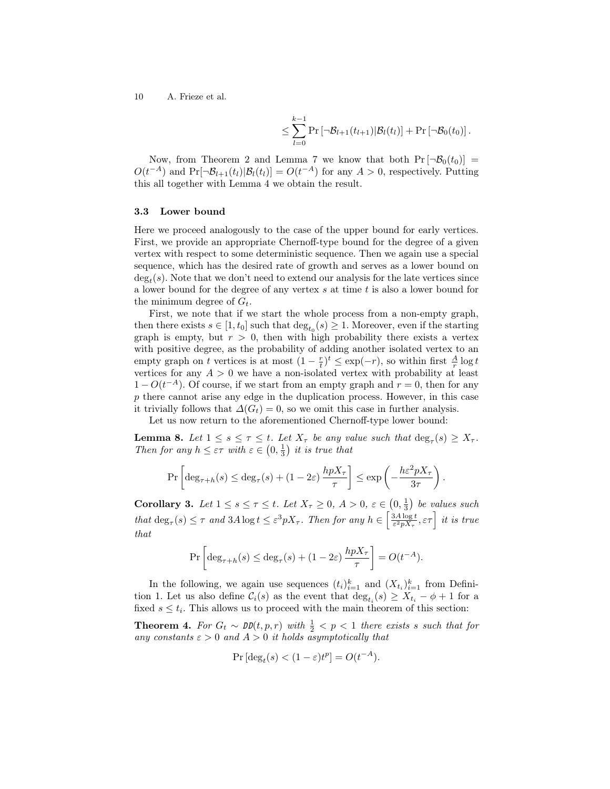$$
\leq \sum_{l=0}^{k-1} \Pr\left[\neg \mathcal{B}_{l+1}(t_{l+1}) | \mathcal{B}_{l}(t_{l})\right] + \Pr\left[\neg \mathcal{B}_{0}(t_{0})\right].
$$

Now, from Theorem 2 and Lemma 7 we know that both  $Pr[\neg \mathcal{B}_0(t_0)] =$  $O(t^{-A})$  and  $Pr[\neg \mathcal{B}_{l+1}(t_l)|\mathcal{B}_l(t_l)] = O(t^{-A})$  for any  $A > 0$ , respectively. Putting this all together with Lemma 4 we obtain the result.

### 3.3 Lower bound

Here we proceed analogously to the case of the upper bound for early vertices. First, we provide an appropriate Chernoff-type bound for the degree of a given vertex with respect to some deterministic sequence. Then we again use a special sequence, which has the desired rate of growth and serves as a lower bound on  $deg<sub>t</sub>(s)$ . Note that we don't need to extend our analysis for the late vertices since a lower bound for the degree of any vertex  $s$  at time  $t$  is also a lower bound for the minimum degree of  $G_t$ .

First, we note that if we start the whole process from a non-empty graph, then there exists  $s \in [1, t_0]$  such that  $\deg_{t_0}(s) \geq 1$ . Moreover, even if the starting graph is empty, but  $r > 0$ , then with high probability there exists a vertex with positive degree, as the probability of adding another isolated vertex to an empty graph on t vertices is at most  $(1 - \frac{r}{t})^t \le \exp(-r)$ , so within first  $\frac{A}{r} \log t$ vertices for any  $A > 0$  we have a non-isolated vertex with probability at least  $1 - O(t^{-A})$ . Of course, if we start from an empty graph and  $r = 0$ , then for any p there cannot arise any edge in the duplication process. However, in this case it trivially follows that  $\Delta(G_t) = 0$ , so we omit this case in further analysis.

Let us now return to the aforementioned Chernoff-type lower bound:

**Lemma 8.** Let  $1 \leq s \leq \tau \leq t$ . Let  $X_{\tau}$  be any value such that  $\deg_{\tau}(s) \geq X_{\tau}$ . Then for any  $h \leq \varepsilon \tau$  with  $\varepsilon \in (0, \frac{1}{3})$  it is true that

$$
\Pr\left[\deg_{\tau+h}(s) \le \deg_\tau(s) + (1-2\varepsilon)\,\frac{hpX_\tau}{\tau}\right] \le \exp\left(-\frac{h\varepsilon^2 pX_\tau}{3\tau}\right).
$$

**Corollary 3.** Let  $1 \leq s \leq \tau \leq t$ . Let  $X_{\tau} \geq 0$ ,  $A > 0$ ,  $\varepsilon \in (0, \frac{1}{3})$  be values such that  $\deg_{\tau}(s) \leq \tau$  and  $3A \log t \leq \varepsilon^3 pX_{\tau}$ . Then for any  $h \in \left[\frac{3A \log t}{\varepsilon^2 pX_{\tau}}, \varepsilon\tau\right]$  it is true that

$$
\Pr\left[\deg_{\tau+h}(s) \le \deg_{\tau}(s) + (1-2\varepsilon)\,\frac{hpX_\tau}{\tau}\right] = O(t^{-A}).
$$

In the following, we again use sequences  $(t_i)_{i=1}^k$  and  $(X_{t_i})_{i=1}^k$  from Definition 1. Let us also define  $\mathcal{C}_i(s)$  as the event that  $\deg_{t_i}(s) \geq X_{t_i} - \phi + 1$  for a fixed  $s \leq t_i$ . This allows us to proceed with the main theorem of this section:

**Theorem 4.** For  $G_t \sim \text{DD}(t, p, r)$  with  $\frac{1}{2} < p < 1$  there exists s such that for any constants  $\varepsilon > 0$  and  $A > 0$  it holds asymptotically that

$$
\Pr\left[\deg_t(s) < (1 - \varepsilon)t^p\right] = O(t^{-A}).
$$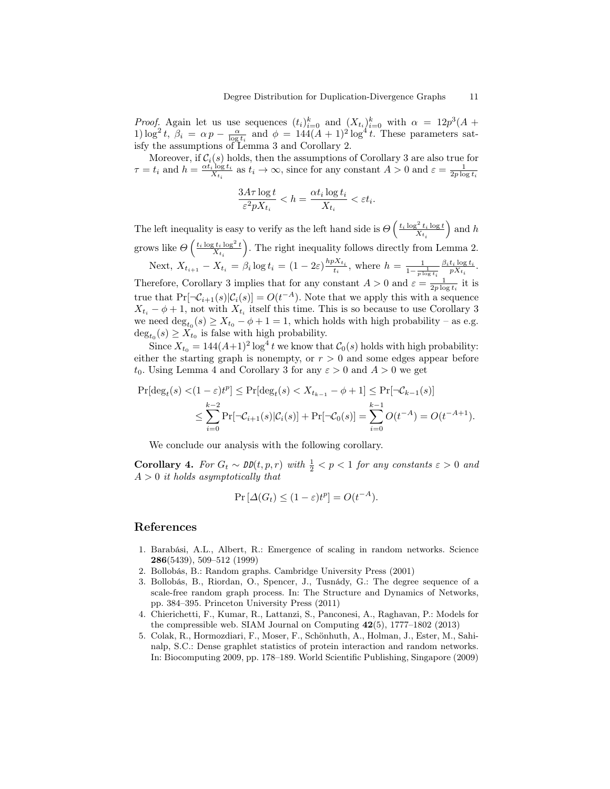*Proof.* Again let us use sequences  $(t_i)_{i=0}^k$  and  $(X_{t_i})_{i=0}^k$  with  $\alpha = 12p^3(A +$ 1)  $\log^2 t$ ,  $\beta_i = \alpha p - \frac{\alpha}{\log t_i}$  and  $\phi = 144(A+1)^2 \log^4 t$ . These parameters satisfy the assumptions of Lemma 3 and Corollary 2.

Moreover, if  $\mathcal{C}_i(s)$  holds, then the assumptions of Corollary 3 are also true for  $\tau = t_i$  and  $h = \frac{\alpha t_i \log t_i}{X_{t_i}}$  as  $t_i \to \infty$ , since for any constant  $A > 0$  and  $\varepsilon = \frac{1}{2p \log t_i}$ 

$$
\frac{3A\tau\log t}{\varepsilon^2 pX_{t_i}} < h = \frac{\alpha t_i\log t_i}{X_{t_i}} < \varepsilon t_i.
$$

The left inequality is easy to verify as the left hand side is  $\Theta\left(\frac{t_i \log^2 t_i \log t}{X_{t_i}}\right)$ ) and  $h$ grows like  $\Theta\left(\frac{t_i\log t_i\log^2t}{X_{t_i}}\right)$  . The right inequality follows directly from Lemma 2. Next,  $X_{t_{i+1}} - X_{t_i} = \beta_i \log t_i = (1 - 2\varepsilon) \frac{hpX_{t_i}}{t_i}$ , where  $h = \frac{1}{1 - \frac{1}{p \log t_i}}$  $\frac{\beta_i t_i \log t_i}{p X_{t_i}}$ . Therefore, Corollary 3 implies that for any constant  $A > 0$  and  $\varepsilon = \frac{1}{2p \log t_i}$  it is

true that  $Pr[\neg \mathcal{C}_{i+1}(s)|\mathcal{C}_{i}(s)] = O(t^{-A})$ . Note that we apply this with a sequence  $X_{t_i} - \phi + 1$ , not with  $X_{t_i}$  itself this time. This is so because to use Corollary 3 we need  $\deg_{t_0}(s) \ge X_{t_0} - \phi + 1 = 1$ , which holds with high probability – as e.g.  $\deg_{t_0}(s) \geq X_{t_0}$  is false with high probability.

Since  $X_{t_0} = 144(A+1)^2 \log^4 t$  we know that  $C_0(s)$  holds with high probability: either the starting graph is nonempty, or  $r > 0$  and some edges appear before  $t_0$ . Using Lemma 4 and Corollary 3 for any  $\varepsilon > 0$  and  $A > 0$  we get

$$
\Pr[\deg_t(s) < (1 - \varepsilon)t^p] \le \Pr[\deg_t(s) < X_{t_{k-1}} - \phi + 1] \le \Pr[\neg C_{k-1}(s)]
$$
\n
$$
\le \sum_{i=0}^{k-2} \Pr[\neg C_{i+1}(s)|C_i(s)] + \Pr[\neg C_0(s)] = \sum_{i=0}^{k-1} O(t^{-A}) = O(t^{-A+1}).
$$

We conclude our analysis with the following corollary.

**Corollary 4.** For  $G_t \sim \text{DD}(t, p, r)$  with  $\frac{1}{2} < p < 1$  for any constants  $\varepsilon > 0$  and  $A > 0$  it holds asymptotically that

$$
\Pr\left[\Delta(G_t) \le (1 - \varepsilon)t^p\right] = O(t^{-A}).
$$

## References

- 1. Barabási, A.L., Albert, R.: Emergence of scaling in random networks. Science 286(5439), 509–512 (1999)
- 2. Bollobás, B.: Random graphs. Cambridge University Press (2001)
- 3. Bollobás, B., Riordan, O., Spencer, J., Tusnády, G.: The degree sequence of a scale-free random graph process. In: The Structure and Dynamics of Networks, pp. 384–395. Princeton University Press (2011)
- 4. Chierichetti, F., Kumar, R., Lattanzi, S., Panconesi, A., Raghavan, P.: Models for the compressible web. SIAM Journal on Computing 42(5), 1777–1802 (2013)
- 5. Colak, R., Hormozdiari, F., Moser, F., Schönhuth, A., Holman, J., Ester, M., Sahinalp, S.C.: Dense graphlet statistics of protein interaction and random networks. In: Biocomputing 2009, pp. 178–189. World Scientific Publishing, Singapore (2009)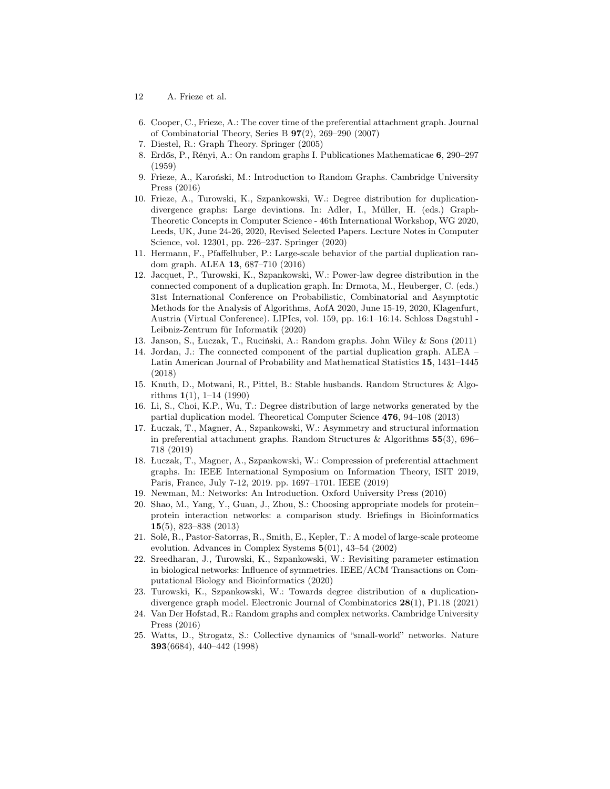- 12 A. Frieze et al.
- 6. Cooper, C., Frieze, A.: The cover time of the preferential attachment graph. Journal of Combinatorial Theory, Series B 97(2), 269–290 (2007)
- 7. Diestel, R.: Graph Theory. Springer (2005)
- 8. Erdős, P., Rényi, A.: On random graphs I. Publicationes Mathematicae 6, 290–297 (1959)
- 9. Frieze, A., Karoński, M.: Introduction to Random Graphs. Cambridge University Press (2016)
- 10. Frieze, A., Turowski, K., Szpankowski, W.: Degree distribution for duplicationdivergence graphs: Large deviations. In: Adler, I., Müller, H. (eds.) Graph-Theoretic Concepts in Computer Science - 46th International Workshop, WG 2020, Leeds, UK, June 24-26, 2020, Revised Selected Papers. Lecture Notes in Computer Science, vol. 12301, pp. 226–237. Springer (2020)
- 11. Hermann, F., Pfaffelhuber, P.: Large-scale behavior of the partial duplication random graph. ALEA 13, 687–710 (2016)
- 12. Jacquet, P., Turowski, K., Szpankowski, W.: Power-law degree distribution in the connected component of a duplication graph. In: Drmota, M., Heuberger, C. (eds.) 31st International Conference on Probabilistic, Combinatorial and Asymptotic Methods for the Analysis of Algorithms, AofA 2020, June 15-19, 2020, Klagenfurt, Austria (Virtual Conference). LIPIcs, vol. 159, pp. 16:1–16:14. Schloss Dagstuhl - Leibniz-Zentrum für Informatik (2020)
- 13. Janson, S., Łuczak, T., Ruciński, A.: Random graphs. John Wiley & Sons (2011)
- 14. Jordan, J.: The connected component of the partial duplication graph. ALEA Latin American Journal of Probability and Mathematical Statistics 15, 1431–1445 (2018)
- 15. Knuth, D., Motwani, R., Pittel, B.: Stable husbands. Random Structures & Algorithms 1(1), 1–14 (1990)
- 16. Li, S., Choi, K.P., Wu, T.: Degree distribution of large networks generated by the partial duplication model. Theoretical Computer Science 476, 94–108 (2013)
- 17. Łuczak, T., Magner, A., Szpankowski, W.: Asymmetry and structural information in preferential attachment graphs. Random Structures & Algorithms  $55(3)$ , 696– 718 (2019)
- 18. Łuczak, T., Magner, A., Szpankowski, W.: Compression of preferential attachment graphs. In: IEEE International Symposium on Information Theory, ISIT 2019, Paris, France, July 7-12, 2019. pp. 1697–1701. IEEE (2019)
- 19. Newman, M.: Networks: An Introduction. Oxford University Press (2010)
- 20. Shao, M., Yang, Y., Guan, J., Zhou, S.: Choosing appropriate models for protein– protein interaction networks: a comparison study. Briefings in Bioinformatics 15(5), 823–838 (2013)
- 21. Solé, R., Pastor-Satorras, R., Smith, E., Kepler, T.: A model of large-scale proteome evolution. Advances in Complex Systems 5(01), 43–54 (2002)
- 22. Sreedharan, J., Turowski, K., Szpankowski, W.: Revisiting parameter estimation in biological networks: Influence of symmetries. IEEE/ACM Transactions on Computational Biology and Bioinformatics (2020)
- 23. Turowski, K., Szpankowski, W.: Towards degree distribution of a duplicationdivergence graph model. Electronic Journal of Combinatorics 28(1), P1.18 (2021)
- 24. Van Der Hofstad, R.: Random graphs and complex networks. Cambridge University Press (2016)
- 25. Watts, D., Strogatz, S.: Collective dynamics of "small-world" networks. Nature 393(6684), 440–442 (1998)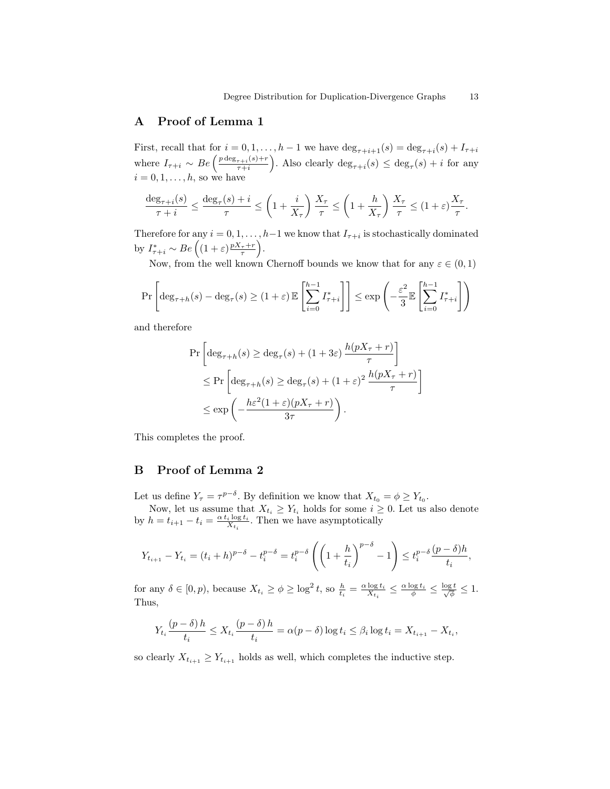# A Proof of Lemma 1

First, recall that for  $i = 0, 1, ..., h-1$  we have  $\deg_{\tau+i+1}(s) = \deg_{\tau+i}(s) + I_{\tau+i}$ where  $I_{\tau+i} \sim Be\left(\frac{p \deg_{\tau+i}(s)+r}{\tau+i}\right)$  $\frac{\tau+i}(s)+r}{\tau+i}$ . Also clearly  $\deg_{\tau+i}(s) \leq \deg_{\tau}(s) + i$  for any  $i = 0, 1, \ldots, h$ , so we have

$$
\frac{\deg_{\tau+i}(s)}{\tau+i} \le \frac{\deg_{\tau}(s)+i}{\tau} \le \left(1+\frac{i}{X_{\tau}}\right) \frac{X_{\tau}}{\tau} \le \left(1+\frac{h}{X_{\tau}}\right) \frac{X_{\tau}}{\tau} \le \left(1+\varepsilon\right) \frac{X_{\tau}}{\tau}.
$$

Therefore for any  $i = 0, 1, \ldots, h-1$  we know that  $I_{\tau+i}$  is stochastically dominated by  $I^*_{\tau+i} \sim Be\left((1+\varepsilon)\frac{pX_{\tau}+r}{\tau}\right).$ 

Now, from the well known Chernoff bounds we know that for any  $\varepsilon \in (0,1)$ 

$$
\Pr\left[\deg_{\tau+h}(s) - \deg_\tau(s) \ge (1+\varepsilon) \, \mathbb{E}\left[\sum_{i=0}^{h-1} I^*_{\tau+i}\right]\right] \le \exp\left(-\frac{\varepsilon^2}{3} \mathbb{E}\left[\sum_{i=0}^{h-1} I^*_{\tau+i}\right]\right)
$$

and therefore

$$
\Pr\left[\deg_{\tau+h}(s) \ge \deg_{\tau}(s) + (1+3\varepsilon) \frac{h(pX_{\tau}+r)}{\tau}\right] \le \Pr\left[\deg_{\tau+h}(s) \ge \deg_{\tau}(s) + (1+\varepsilon)^2 \frac{h(pX_{\tau}+r)}{\tau}\right] \le \exp\left(-\frac{h\varepsilon^2(1+\varepsilon)(pX_{\tau}+r)}{3\tau}\right).
$$

This completes the proof.

# B Proof of Lemma 2

Let us define  $Y_{\tau} = \tau^{p-\delta}$ . By definition we know that  $X_{t_0} = \phi \ge Y_{t_0}$ .

Now, let us assume that  $X_{t_i} \geq Y_{t_i}$  holds for some  $i \geq 0$ . Let us also denote by  $h = t_{i+1} - t_i = \frac{\alpha t_i \log t_i}{X_{t_i}}$ . Then we have asymptotically

$$
Y_{t_{i+1}} - Y_{t_i} = (t_i + h)^{p-\delta} - t_i^{p-\delta} = t_i^{p-\delta} \left( \left( 1 + \frac{h}{t_i} \right)^{p-\delta} - 1 \right) \le t_i^{p-\delta} \frac{(p-\delta)h}{t_i},
$$

for any  $\delta \in [0, p)$ , because  $X_{t_i} \ge \phi \ge \log^2 t$ , so  $\frac{h}{t_i} = \frac{\alpha \log t_i}{X_{t_i}} \le \frac{\alpha \log t_i}{\phi} \le \frac{\log t}{\sqrt{\phi}} \le 1$ . Thus,

$$
Y_{t_i} \frac{(p-\delta) h}{t_i} \le X_{t_i} \frac{(p-\delta) h}{t_i} = \alpha(p-\delta) \log t_i \le \beta_i \log t_i = X_{t_{i+1}} - X_{t_i},
$$

so clearly  $X_{t_{i+1}} \geq Y_{t_{i+1}}$  holds as well, which completes the inductive step.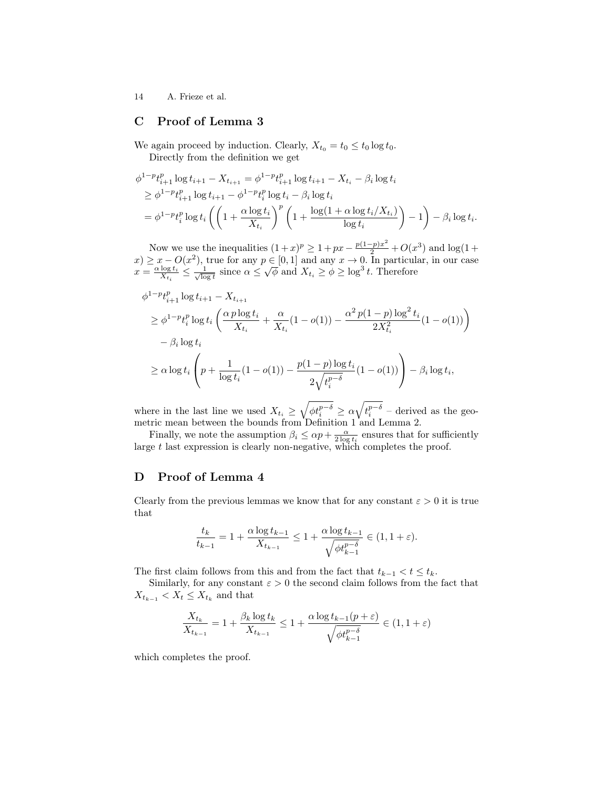# C Proof of Lemma 3

We again proceed by induction. Clearly,  $X_{t_0} = t_0 \leq t_0 \log t_0$ . Directly from the definition we get

$$
\phi^{1-p}t_{i+1}^p \log t_{i+1} - X_{t_{i+1}} = \phi^{1-p}t_{i+1}^p \log t_{i+1} - X_{t_i} - \beta_i \log t_i
$$
  
\n
$$
\geq \phi^{1-p}t_{i+1}^p \log t_{i+1} - \phi^{1-p}t_i^p \log t_i - \beta_i \log t_i
$$
  
\n
$$
= \phi^{1-p}t_i^p \log t_i \left( \left( 1 + \frac{\alpha \log t_i}{X_{t_i}} \right)^p \left( 1 + \frac{\log(1 + \alpha \log t_i/X_{t_i})}{\log t_i} \right) - 1 \right) - \beta_i \log t_i.
$$

Now we use the inequalities  $(1+x)^p \geq 1 + px - \frac{p(1-p)x^2}{2} + O(x^3)$  and  $\log(1+\frac{1}{2})$  $(x) \geq x - O(x^2)$ , true for any  $p \in [0, 1]$  and any  $x \to 0$ . In particular, in our case  $x \geq x - \mathcal{O}(x)$ , true for any  $p \in [0, 1]$  and any  $x \to 0$ . In particular  $x = \frac{\alpha \log t_i}{X_{t_i}} \leq \frac{1}{\sqrt{\log t}}$  since  $\alpha \leq \sqrt{\phi}$  and  $X_{t_i} \geq \phi \geq \log^3 t$ . Therefore

$$
\begin{split} &\phi^{1-p}t_{i+1}^p\log t_{i+1} - X_{t_{i+1}} \\ &\geq \phi^{1-p}t_i^p\log t_i \left(\frac{\alpha p\log t_i}{X_{t_i}} + \frac{\alpha}{X_{t_i}}(1-o(1)) - \frac{\alpha^2 p(1-p)\log^2 t_i}{2X_{t_i}^2}(1-o(1))\right) \\ &- \beta_i\log t_i \\ &\geq \alpha\log t_i \left(p + \frac{1}{\log t_i}(1-o(1)) - \frac{p(1-p)\log t_i}{2\sqrt{t_i^{p-\delta}}}(1-o(1))\right) - \beta_i\log t_i, \end{split}
$$

where in the last line we used  $X_{t_i} \geq \sqrt{\phi t_i^{p-\delta}} \geq \alpha \sqrt{t_i^{p-\delta}}$  – derived as the geometric mean between the bounds from Definition 1 and Lemma 2.

Finally, we note the assumption  $\beta_i \leq \alpha p + \frac{\alpha}{2 \log t_i}$  ensures that for sufficiently large t last expression is clearly non-negative, which completes the proof.

# D Proof of Lemma 4

Clearly from the previous lemmas we know that for any constant  $\varepsilon > 0$  it is true that

$$
\frac{t_k}{t_{k-1}} = 1 + \frac{\alpha \log t_{k-1}}{X_{t_{k-1}}} \le 1 + \frac{\alpha \log t_{k-1}}{\sqrt{\phi t_{k-1}^{p-\delta}}} \in (1, 1 + \varepsilon).
$$

The first claim follows from this and from the fact that  $t_{k-1} < t \leq t_k$ .

Similarly, for any constant  $\varepsilon > 0$  the second claim follows from the fact that  $X_{t_{k-1}} < X_t \leq X_{t_k}$  and that

$$
\frac{X_{t_k}}{X_{t_{k-1}}} = 1 + \frac{\beta_k \log t_k}{X_{t_{k-1}}} \le 1 + \frac{\alpha \log t_{k-1}(p+\varepsilon)}{\sqrt{\phi t_{k-1}^{p-\delta}}} \in (1, 1+\varepsilon)
$$

which completes the proof.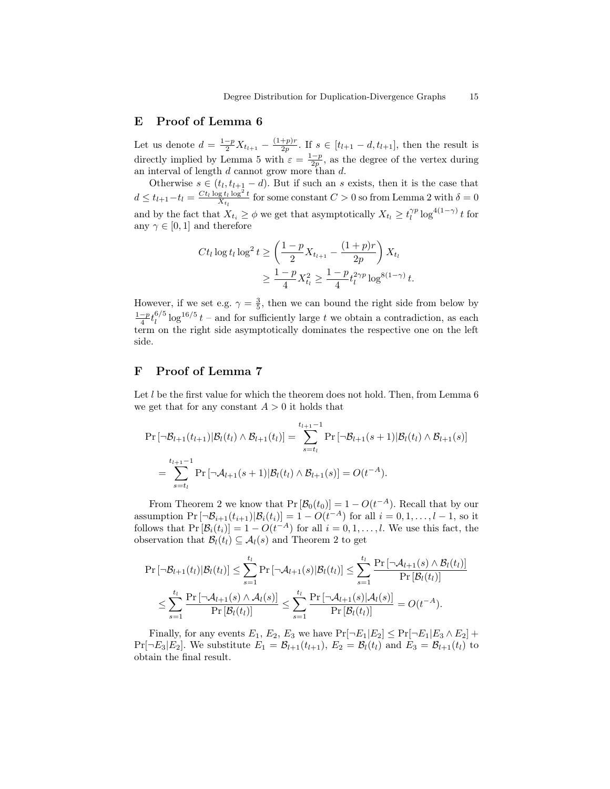## E Proof of Lemma 6

Let us denote  $d = \frac{1-p}{2} X_{t_{l+1}} - \frac{(1+p)r}{2p}$  $\frac{(-p+r)}{2p}$ . If  $s \in [t_{l+1} - d, t_{l+1}],$  then the result is directly implied by Lemma 5 with  $\varepsilon = \frac{1-p}{2p}$ , as the degree of the vertex during an interval of length d cannot grow more than d.

Otherwise  $s \in (t_l, t_{l+1} - d)$ . But if such an s exists, then it is the case that  $d \le t_{l+1} - t_l = \frac{Ct_l \log t_l \log^2 t}{X_{t_l}}$  for some constant  $C > 0$  so from Lemma 2 with  $\delta = 0$ and by the fact that  $X_{t_i} \geq \phi$  we get that asymptotically  $X_{t_i} \geq t_i^{\gamma p} \log^{4(1-\gamma)} t$  for any  $\gamma \in [0, 1]$  and therefore

$$
Ct_l \log t_l \log^2 t \ge \left(\frac{1-p}{2} X_{t_{l+1}} - \frac{(1+p)r}{2p}\right) X_{t_l}
$$
  

$$
\ge \frac{1-p}{4} X_{t_l}^2 \ge \frac{1-p}{4} t_l^{2\gamma p} \log^{8(1-\gamma)} t.
$$

However, if we set e.g.  $\gamma = \frac{3}{5}$ , then we can bound the right side from below by  $\frac{1-p}{4} t_l^{6/5}$  $\int_l^{6/5} \log^{16/5} t$  – and for sufficiently large t we obtain a contradiction, as each term on the right side asymptotically dominates the respective one on the left side.

# F Proof of Lemma 7

Let  $l$  be the first value for which the theorem does not hold. Then, from Lemma  $6$ we get that for any constant  $A > 0$  it holds that

$$
\Pr[\neg \mathcal{B}_{l+1}(t_{l+1}) | \mathcal{B}_{l}(t_{l}) \land \mathcal{B}_{l+1}(t_{l})] = \sum_{s=t_{l}}^{t_{l+1}-1} \Pr[\neg \mathcal{B}_{l+1}(s+1) | \mathcal{B}_{l}(t_{l}) \land \mathcal{B}_{l+1}(s)]
$$
  
= 
$$
\sum_{s=t_{l}}^{t_{l+1}-1} \Pr[\neg \mathcal{A}_{l+1}(s+1) | \mathcal{B}_{l}(t_{l}) \land \mathcal{B}_{l+1}(s)] = O(t^{-A}).
$$

From Theorem 2 we know that  $Pr[\mathcal{B}_0(t_0)] = 1 - O(t^{-A})$ . Recall that by our assumption  $\Pr[\neg \mathcal{B}_{i+1}(t_{i+1}) | \mathcal{B}_{i}(t_i)] = 1 - O(t^{-A})$  for all  $i = 0, 1, \ldots, l-1$ , so it follows that  $Pr[\mathcal{B}_i(t_i)] = 1 - O(t^{-A})$  for all  $i = 0, 1, ..., l$ . We use this fact, the observation that  $\mathcal{B}_l(t_l) \subseteq \mathcal{A}_l(s)$  and Theorem 2 to get

$$
\Pr\left[\neg B_{l+1}(t_l)|B_l(t_l)\right] \leq \sum_{s=1}^{t_l} \Pr\left[\neg \mathcal{A}_{l+1}(s)|B_l(t_l)\right] \leq \sum_{s=1}^{t_l} \frac{\Pr\left[\neg \mathcal{A}_{l+1}(s) \land B_l(t_l)\right]}{\Pr\left[\mathcal{B}_l(t_l)\right]} \\
\leq \sum_{s=1}^{t_l} \frac{\Pr\left[\neg \mathcal{A}_{l+1}(s) \land \mathcal{A}_l(s)\right]}{\Pr\left[\mathcal{B}_l(t_l)\right]} \leq \sum_{s=1}^{t_l} \frac{\Pr\left[\neg \mathcal{A}_{l+1}(s)|\mathcal{A}_l(s)\right]}{\Pr\left[\mathcal{B}_l(t_l)\right]} = O(t^{-A}).
$$

Finally, for any events  $E_1, E_2, E_3$  we have  $Pr[\neg E_1 | E_2] \le Pr[\neg E_1 | E_3 \wedge E_2] +$  $Pr[\neg E_3 | E_2]$ . We substitute  $E_1 = \mathcal{B}_{l+1}(t_{l+1}), E_2 = \mathcal{B}_{l}(t_l)$  and  $E_3 = \mathcal{B}_{l+1}(t_l)$  to obtain the final result.